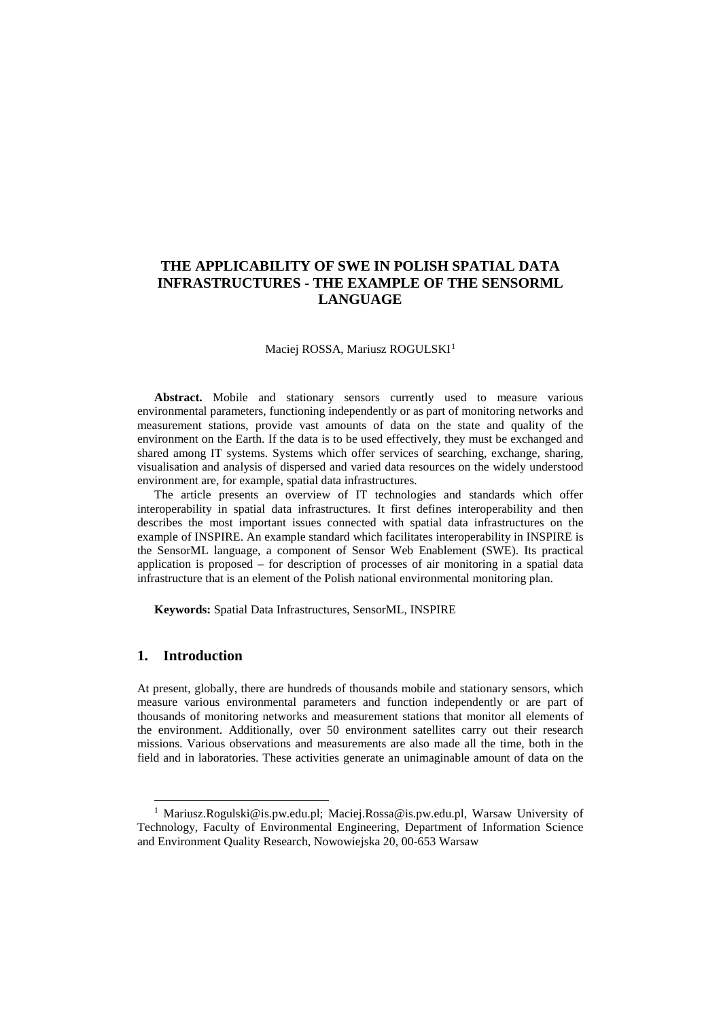FOUNDATIONS OF COMPUTING AND DECISION SCIENCES<br>Vol 40<br>No 3 Vol. 40 (2015) **DE GRUYTER** 

DOI: 10.1515/fcds-2015-0012

 $N_0$  3 ISSN 0867-6356 e-ISSN 2300-3405

# **THE APPLICABILITY OF SWE IN POLISH SPATIAL DATA INFRASTRUCTURES - THE EXAMPLE OF THE SENSORML LANGUAGE**

Maciej ROSSA, Mariusz ROGULSKI<sup>[1](#page-0-0)</sup>

Abstract. Mobile and stationary sensors currently used to measure various environmental parameters, functioning independently or as part of monitoring networks and measurement stations, provide vast amounts of data on the state and quality of the environment on the Earth. If the data is to be used effectively, they must be exchanged and shared among IT systems. Systems which offer services of searching, exchange, sharing, visualisation and analysis of dispersed and varied data resources on the widely understood environment are, for example, spatial data infrastructures.

The article presents an overview of IT technologies and standards which offer interoperability in spatial data infrastructures. It first defines interoperability and then describes the most important issues connected with spatial data infrastructures on the example of INSPIRE. An example standard which facilitates interoperability in INSPIRE is the SensorML language, a component of Sensor Web Enablement (SWE). Its practical application is proposed – for description of processes of air monitoring in a spatial data infrastructure that is an element of the Polish national environmental monitoring plan.

**Keywords:** Spatial Data Infrastructures, SensorML, INSPIRE

## **1. Introduction**

At present, globally, there are hundreds of thousands mobile and stationary sensors, which measure various environmental parameters and function independently or are part of thousands of monitoring networks and measurement stations that monitor all elements of the environment. Additionally, over 50 environment satellites carry out their research missions. Various observations and measurements are also made all the time, both in the field and in laboratories. These activities generate an unimaginable amount of data on the

<span id="page-0-0"></span><sup>1</sup> Mariusz.Rogulski@is.pw.edu.pl; Maciej.Rossa@is.pw.edu.pl, Warsaw University of Technology, Faculty of Environmental Engineering, Department of Information Science and Environment Quality Research, Nowowiejska 20, 00-653 Warsaw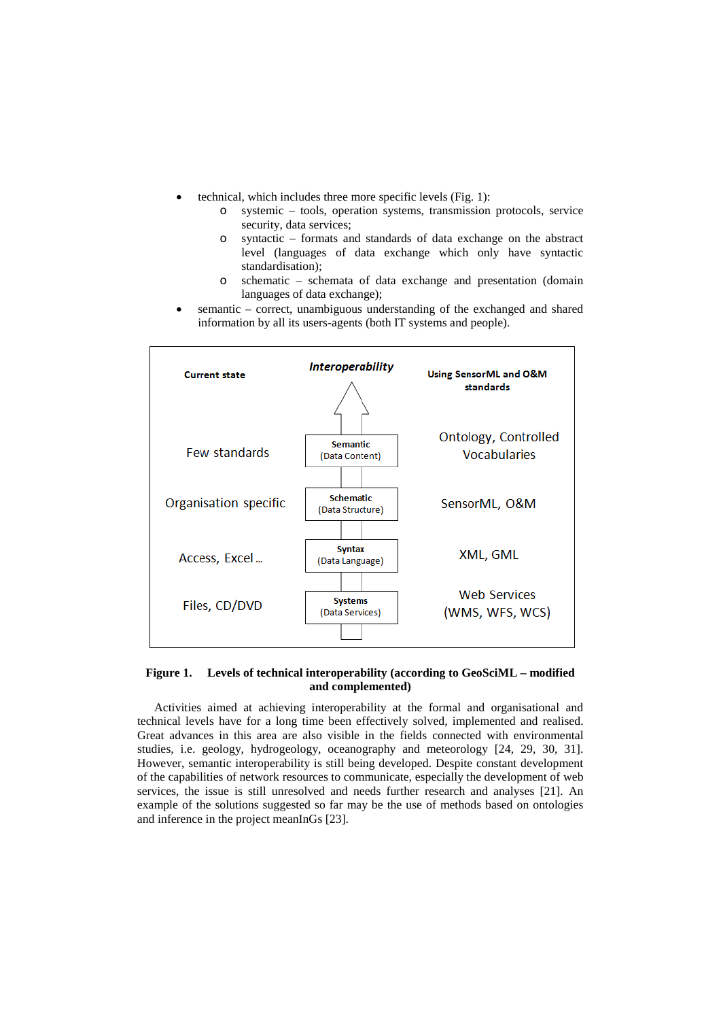- technical, which includes three more specific levels (Fig. 1):
	- o systemic tools, operation systems, transmission protocols, service security, data services;
	- o syntactic formats and standards of data exchange on the abstract level (languages of data exchange which only have syntactic standardisation);
	- o schematic schemata of data exchange and presentation (domain languages of data exchange);
- semantic correct, unambiguous understanding of the exchanged and shared information by all its users-agents (both IT systems and people).



#### **Figure 1. Levels of technical interoperability (according to GeoSciML – modified and complemented)**

Activities aimed at achieving interoperability at the formal and organisational and technical levels have for a long time been effectively solved, implemented and realised. Great advances in this area are also visible in the fields connected with environmental studies, i.e. geology, hydrogeology, oceanography and meteorology [24, 29, 30, 31]. However, semantic interoperability is still being developed. Despite constant development of the capabilities of network resources to communicate, especially the development of web services, the issue is still unresolved and needs further research and analyses [21]. An example of the solutions suggested so far may be the use of methods based on ontologies and inference in the project meanInGs [23].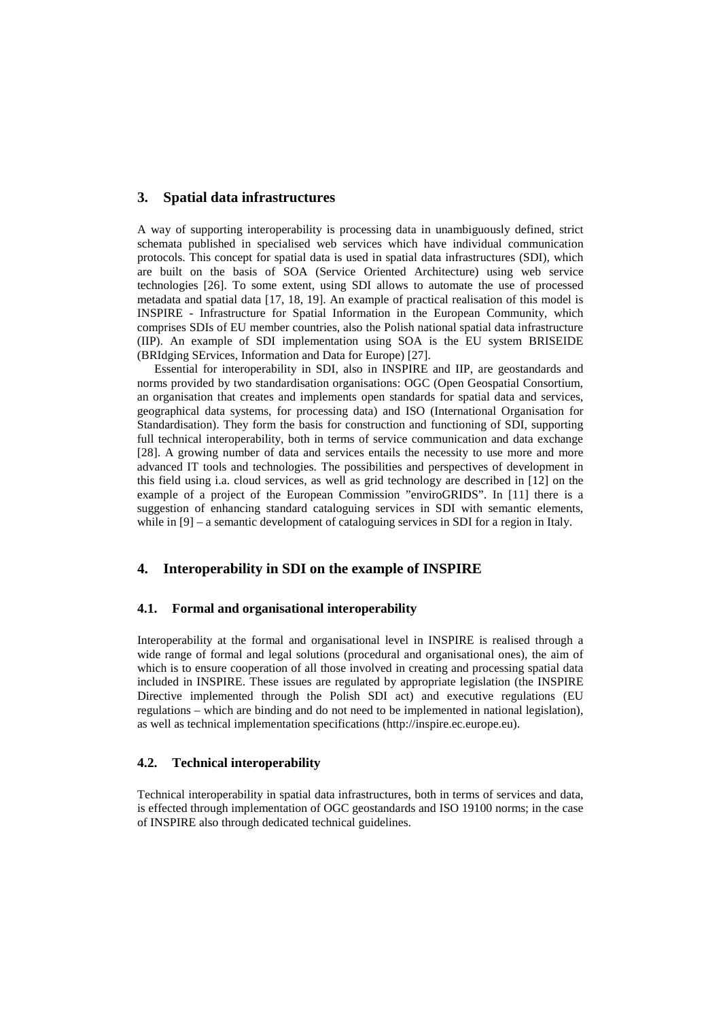## **3. Spatial data infrastructures**

A way of supporting interoperability is processing data in unambiguously defined, strict schemata published in specialised web services which have individual communication protocols. This concept for spatial data is used in spatial data infrastructures (SDI), which are built on the basis of SOA (Service Oriented Architecture) using web service technologies [26]. To some extent, using SDI allows to automate the use of processed metadata and spatial data [17, 18, 19]. An example of practical realisation of this model is INSPIRE - Infrastructure for Spatial Information in the European Community, which comprises SDIs of EU member countries, also the Polish national spatial data infrastructure (IIP). An example of SDI implementation using SOA is the EU system BRISEIDE (BRIdging SErvices, Information and Data for Europe) [27].

Essential for interoperability in SDI, also in INSPIRE and IIP, are geostandards and norms provided by two standardisation organisations: OGC (Open Geospatial Consortium, an organisation that creates and implements open standards for spatial data and services, geographical data systems, for processing data) and ISO (International Organisation for Standardisation). They form the basis for construction and functioning of SDI, supporting full technical interoperability, both in terms of service communication and data exchange [28]. A growing number of data and services entails the necessity to use more and more advanced IT tools and technologies. The possibilities and perspectives of development in this field using i.a. cloud services, as well as grid technology are described in [12] on the example of a project of the European Commission "enviroGRIDS". In [11] there is a suggestion of enhancing standard cataloguing services in SDI with semantic elements, while in  $[9]$  – a semantic development of cataloguing services in SDI for a region in Italy.

## **4. Interoperability in SDI on the example of INSPIRE**

#### **4.1. Formal and organisational interoperability**

Interoperability at the formal and organisational level in INSPIRE is realised through a wide range of formal and legal solutions (procedural and organisational ones), the aim of which is to ensure cooperation of all those involved in creating and processing spatial data included in INSPIRE. These issues are regulated by appropriate legislation (the INSPIRE Directive implemented through the Polish SDI act) and executive regulations (EU regulations – which are binding and do not need to be implemented in national legislation), as well as technical implementation specifications (http://inspire.ec.europe.eu).

## **4.2. Technical interoperability**

Technical interoperability in spatial data infrastructures, both in terms of services and data, is effected through implementation of OGC geostandards and ISO 19100 norms; in the case of INSPIRE also through dedicated technical guidelines.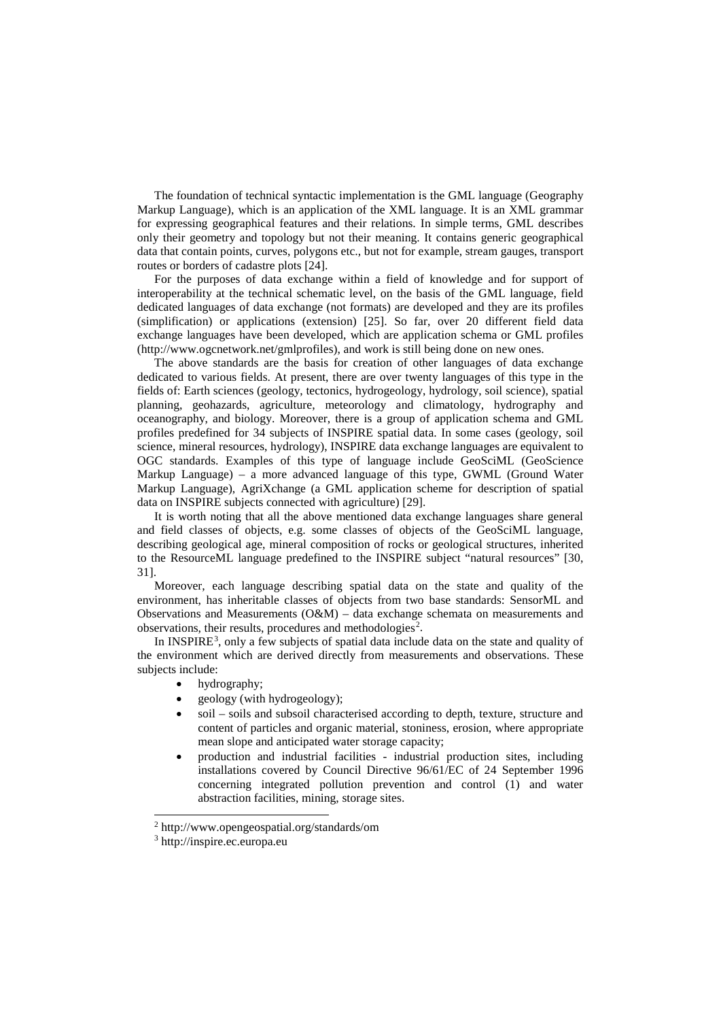The foundation of technical syntactic implementation is the GML language (Geography Markup Language), which is an application of the XML language. It is an XML grammar for expressing geographical features and their relations. In simple terms, GML describes only their geometry and topology but not their meaning. It contains generic geographical data that contain points, curves, polygons etc., but not for example, stream gauges, transport routes or borders of cadastre plots [24].

For the purposes of data exchange within a field of knowledge and for support of interoperability at the technical schematic level, on the basis of the GML language, field dedicated languages of data exchange (not formats) are developed and they are its profiles (simplification) or applications (extension) [25]. So far, over 20 different field data exchange languages have been developed, which are application schema or GML profiles (http://www.ogcnetwork.net/gmlprofiles), and work is still being done on new ones.

The above standards are the basis for creation of other languages of data exchange dedicated to various fields. At present, there are over twenty languages of this type in the fields of: Earth sciences (geology, tectonics, hydrogeology, hydrology, soil science), spatial planning, geohazards, agriculture, meteorology and climatology, hydrography and oceanography, and biology. Moreover, there is a group of application schema and GML profiles predefined for 34 subjects of INSPIRE spatial data. In some cases (geology, soil science, mineral resources, hydrology), INSPIRE data exchange languages are equivalent to OGC standards. Examples of this type of language include GeoSciML (GeoScience Markup Language) – a more advanced language of this type, GWML (Ground Water Markup Language), AgriXchange (a GML application scheme for description of spatial data on INSPIRE subjects connected with agriculture) [29].

It is worth noting that all the above mentioned data exchange languages share general and field classes of objects, e.g. some classes of objects of the GeoSciML language, describing geological age, mineral composition of rocks or geological structures, inherited to the ResourceML language predefined to the INSPIRE subject "natural resources" [30, 31].

Moreover, each language describing spatial data on the state and quality of the environment, has inheritable classes of objects from two base standards: SensorML and Observations and Measurements  $(O&M)$  – data exchange schemata on measurements and observations, their results, procedures and methodologies<sup>[2](#page-4-0)</sup>.

In INSPIRE<sup>[3](#page-4-1)</sup>, only a few subjects of spatial data include data on the state and quality of the environment which are derived directly from measurements and observations. These subjects include:

- hydrography;
- geology (with hydrogeology);
- soil soils and subsoil characterised according to depth, texture, structure and content of particles and organic material, stoniness, erosion, where appropriate mean slope and anticipated water storage capacity;
- production and industrial facilities industrial production sites, including installations covered by Council Directive 96/61/EC of 24 September 1996 concerning integrated pollution prevention and control (1) and water abstraction facilities, mining, storage sites.

1

<span id="page-4-0"></span><sup>2</sup> http://www.opengeospatial.org/standards/om

<span id="page-4-1"></span><sup>3</sup> http://inspire.ec.europa.eu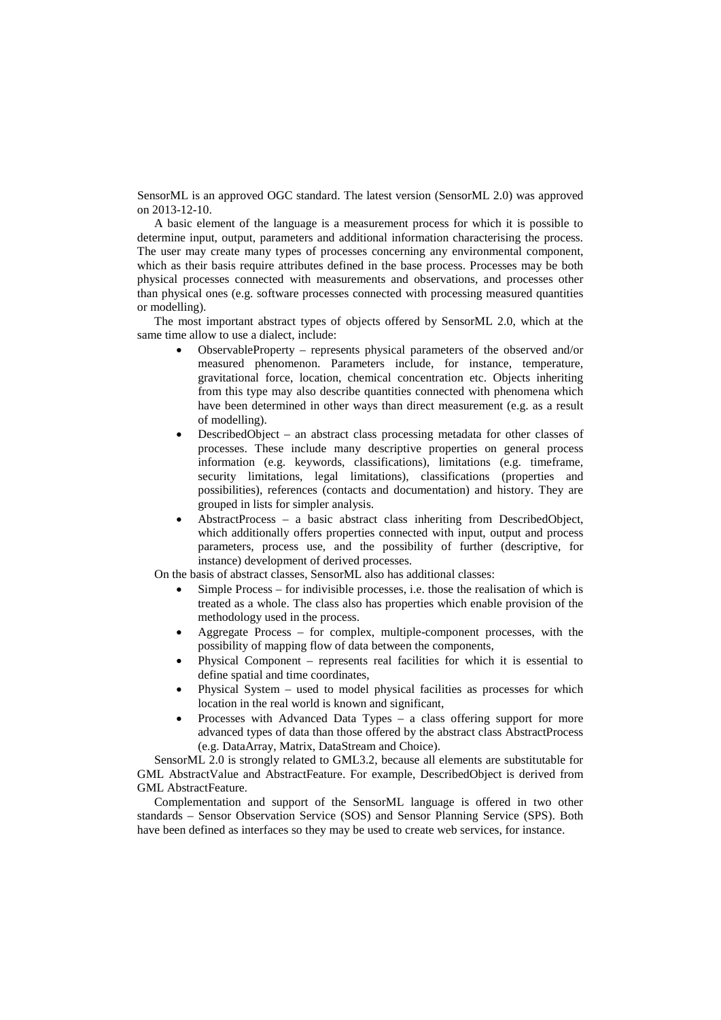SensorML is an approved OGC standard. The latest version (SensorML 2.0) was approved on 2013-12-10.

A basic element of the language is a measurement process for which it is possible to determine input, output, parameters and additional information characterising the process. The user may create many types of processes concerning any environmental component, which as their basis require attributes defined in the base process. Processes may be both physical processes connected with measurements and observations, and processes other than physical ones (e.g. software processes connected with processing measured quantities or modelling).

The most important abstract types of objects offered by SensorML 2.0, which at the same time allow to use a dialect, include:

- ObservableProperty represents physical parameters of the observed and/or measured phenomenon. Parameters include, for instance, temperature, gravitational force, location, chemical concentration etc. Objects inheriting from this type may also describe quantities connected with phenomena which have been determined in other ways than direct measurement (e.g. as a result of modelling).
- DescribedObject an abstract class processing metadata for other classes of processes. These include many descriptive properties on general process information (e.g. keywords, classifications), limitations (e.g. timeframe, security limitations, legal limitations), classifications (properties and possibilities), references (contacts and documentation) and history. They are grouped in lists for simpler analysis.
- AbstractProcess a basic abstract class inheriting from DescribedObject, which additionally offers properties connected with input, output and process parameters, process use, and the possibility of further (descriptive, for instance) development of derived processes.

On the basis of abstract classes, SensorML also has additional classes:

- Simple Process for indivisible processes, i.e. those the realisation of which is treated as a whole. The class also has properties which enable provision of the methodology used in the process.
- Aggregate Process for complex, multiple-component processes, with the possibility of mapping flow of data between the components,
- Physical Component represents real facilities for which it is essential to define spatial and time coordinates,
- Physical System used to model physical facilities as processes for which location in the real world is known and significant,
- Processes with Advanced Data Types a class offering support for more advanced types of data than those offered by the abstract class AbstractProcess (e.g. DataArray, Matrix, DataStream and Choice).

SensorML 2.0 is strongly related to GML3.2, because all elements are substitutable for GML AbstractValue and AbstractFeature. For example, DescribedObject is derived from GML AbstractFeature.

Complementation and support of the SensorML language is offered in two other standards – Sensor Observation Service (SOS) and Sensor Planning Service (SPS). Both have been defined as interfaces so they may be used to create web services, for instance.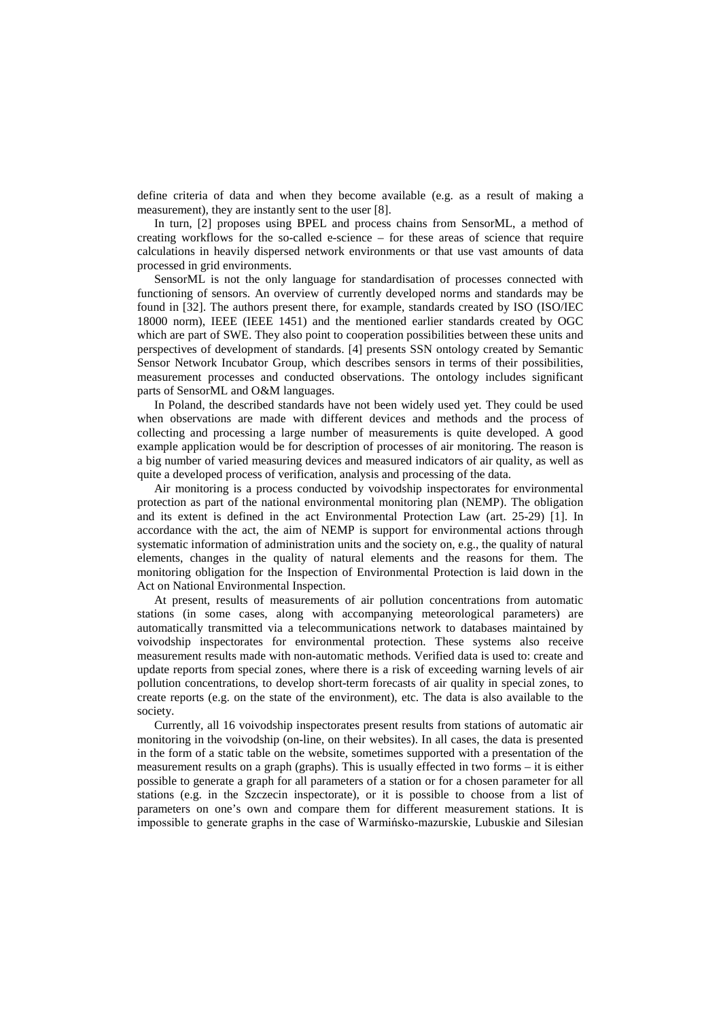define criteria of data and when they become available (e.g. as a result of making a measurement), they are instantly sent to the user [8].

In turn, [2] proposes using BPEL and process chains from SensorML, a method of creating workflows for the so-called e-science – for these areas of science that require calculations in heavily dispersed network environments or that use vast amounts of data processed in grid environments.

SensorML is not the only language for standardisation of processes connected with functioning of sensors. An overview of currently developed norms and standards may be found in [32]. The authors present there, for example, standards created by ISO (ISO/IEC 18000 norm), IEEE (IEEE 1451) and the mentioned earlier standards created by OGC which are part of SWE. They also point to cooperation possibilities between these units and perspectives of development of standards. [4] presents SSN ontology created by Semantic Sensor Network Incubator Group, which describes sensors in terms of their possibilities, measurement processes and conducted observations. The ontology includes significant parts of SensorML and O&M languages.

In Poland, the described standards have not been widely used yet. They could be used when observations are made with different devices and methods and the process of collecting and processing a large number of measurements is quite developed. A good example application would be for description of processes of air monitoring. The reason is a big number of varied measuring devices and measured indicators of air quality, as well as quite a developed process of verification, analysis and processing of the data.

Air monitoring is a process conducted by voivodship inspectorates for environmental protection as part of the national environmental monitoring plan (NEMP). The obligation and its extent is defined in the act Environmental Protection Law (art. 25-29) [1]. In accordance with the act, the aim of NEMP is support for environmental actions through systematic information of administration units and the society on, e.g., the quality of natural elements, changes in the quality of natural elements and the reasons for them. The monitoring obligation for the Inspection of Environmental Protection is laid down in the Act on National Environmental Inspection.

At present, results of measurements of air pollution concentrations from automatic stations (in some cases, along with accompanying meteorological parameters) are automatically transmitted via a telecommunications network to databases maintained by voivodship inspectorates for environmental protection. These systems also receive measurement results made with non-automatic methods. Verified data is used to: create and update reports from special zones, where there is a risk of exceeding warning levels of air pollution concentrations, to develop short-term forecasts of air quality in special zones, to create reports (e.g. on the state of the environment), etc. The data is also available to the society.

Currently, all 16 voivodship inspectorates present results from stations of automatic air monitoring in the voivodship (on-line, on their websites). In all cases, the data is presented in the form of a static table on the website, sometimes supported with a presentation of the measurement results on a graph (graphs). This is usually effected in two forms – it is either possible to generate a graph for all parameters of a station or for a chosen parameter for all stations (e.g. in the Szczecin inspectorate), or it is possible to choose from a list of parameters on one's own and compare them for different measurement stations. It is impossible to generate graphs in the case of Warmińsko-mazurskie, Lubuskie and Silesian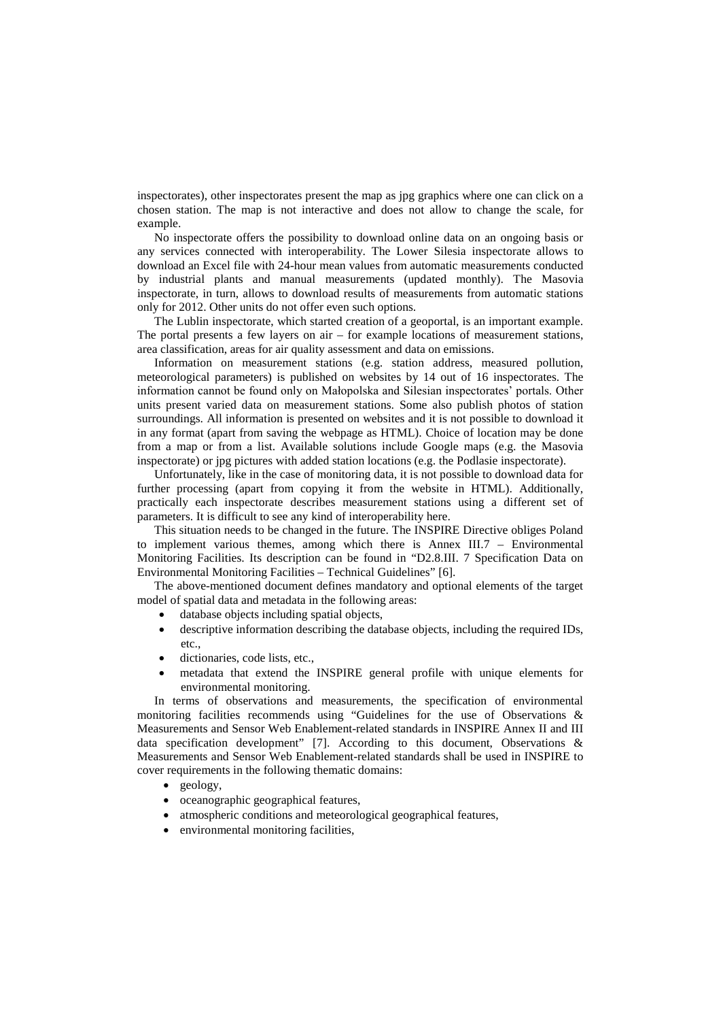inspectorates), other inspectorates present the map as jpg graphics where one can click on a chosen station. The map is not interactive and does not allow to change the scale, for example.

No inspectorate offers the possibility to download online data on an ongoing basis or any services connected with interoperability. The Lower Silesia inspectorate allows to download an Excel file with 24-hour mean values from automatic measurements conducted by industrial plants and manual measurements (updated monthly). The Masovia inspectorate, in turn, allows to download results of measurements from automatic stations only for 2012. Other units do not offer even such options.

The Lublin inspectorate, which started creation of a geoportal, is an important example. The portal presents a few layers on air – for example locations of measurement stations, area classification, areas for air quality assessment and data on emissions.

Information on measurement stations (e.g. station address, measured pollution, meteorological parameters) is published on websites by 14 out of 16 inspectorates. The information cannot be found only on Małopolska and Silesian inspectorates' portals. Other units present varied data on measurement stations. Some also publish photos of station surroundings. All information is presented on websites and it is not possible to download it in any format (apart from saving the webpage as HTML). Choice of location may be done from a map or from a list. Available solutions include Google maps (e.g. the Masovia inspectorate) or jpg pictures with added station locations (e.g. the Podlasie inspectorate).

Unfortunately, like in the case of monitoring data, it is not possible to download data for further processing (apart from copying it from the website in HTML). Additionally, practically each inspectorate describes measurement stations using a different set of parameters. It is difficult to see any kind of interoperability here.

This situation needs to be changed in the future. The INSPIRE Directive obliges Poland to implement various themes, among which there is Annex III.7 – Environmental Monitoring Facilities. Its description can be found in "D2.8.III. 7 Specification Data on Environmental Monitoring Facilities – Technical Guidelines" [6].

The above-mentioned document defines mandatory and optional elements of the target model of spatial data and metadata in the following areas:

- database objects including spatial objects,
- descriptive information describing the database objects, including the required IDs, etc.,
- dictionaries, code lists, etc.,
- metadata that extend the INSPIRE general profile with unique elements for environmental monitoring.

In terms of observations and measurements, the specification of environmental monitoring facilities recommends using "Guidelines for the use of Observations & Measurements and Sensor Web Enablement-related standards in INSPIRE Annex II and III data specification development" [7]. According to this document, Observations & Measurements and Sensor Web Enablement-related standards shall be used in INSPIRE to cover requirements in the following thematic domains:

- geology,
- oceanographic geographical features,
- atmospheric conditions and meteorological geographical features,
- environmental monitoring facilities,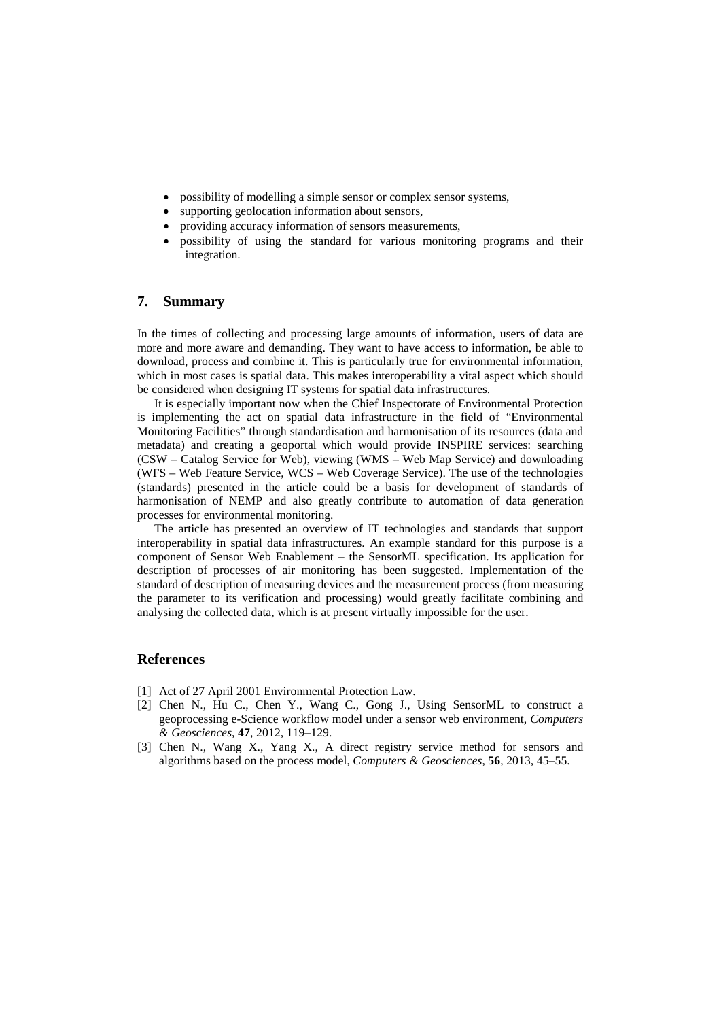- possibility of modelling a simple sensor or complex sensor systems,
- supporting geolocation information about sensors,
- providing accuracy information of sensors measurements,
- possibility of using the standard for various monitoring programs and their integration.

#### **7. Summary**

In the times of collecting and processing large amounts of information, users of data are more and more aware and demanding. They want to have access to information, be able to download, process and combine it. This is particularly true for environmental information, which in most cases is spatial data. This makes interoperability a vital aspect which should be considered when designing IT systems for spatial data infrastructures.

It is especially important now when the Chief Inspectorate of Environmental Protection is implementing the act on spatial data infrastructure in the field of "Environmental Monitoring Facilities" through standardisation and harmonisation of its resources (data and metadata) and creating a geoportal which would provide INSPIRE services: searching (CSW – Catalog Service for Web), viewing (WMS – Web Map Service) and downloading (WFS – Web Feature Service, WCS – Web Coverage Service). The use of the technologies (standards) presented in the article could be a basis for development of standards of harmonisation of NEMP and also greatly contribute to automation of data generation processes for environmental monitoring.

The article has presented an overview of IT technologies and standards that support interoperability in spatial data infrastructures. An example standard for this purpose is a component of Sensor Web Enablement – the SensorML specification. Its application for description of processes of air monitoring has been suggested. Implementation of the standard of description of measuring devices and the measurement process (from measuring the parameter to its verification and processing) would greatly facilitate combining and analysing the collected data, which is at present virtually impossible for the user.

## **References**

- [1] Act of 27 April 2001 Environmental Protection Law.
- [2] Chen N., Hu C., Chen Y., Wang C., Gong J., Using SensorML to construct a geoprocessing e-Science workflow model under a sensor web environment, *Computers & Geosciences*, **47**, 2012, 119–129.
- [3] Chen N., Wang X., Yang X., A direct registry service method for sensors and algorithms based on the process model, *Computers & Geosciences*, **56**, 2013, 45–55.